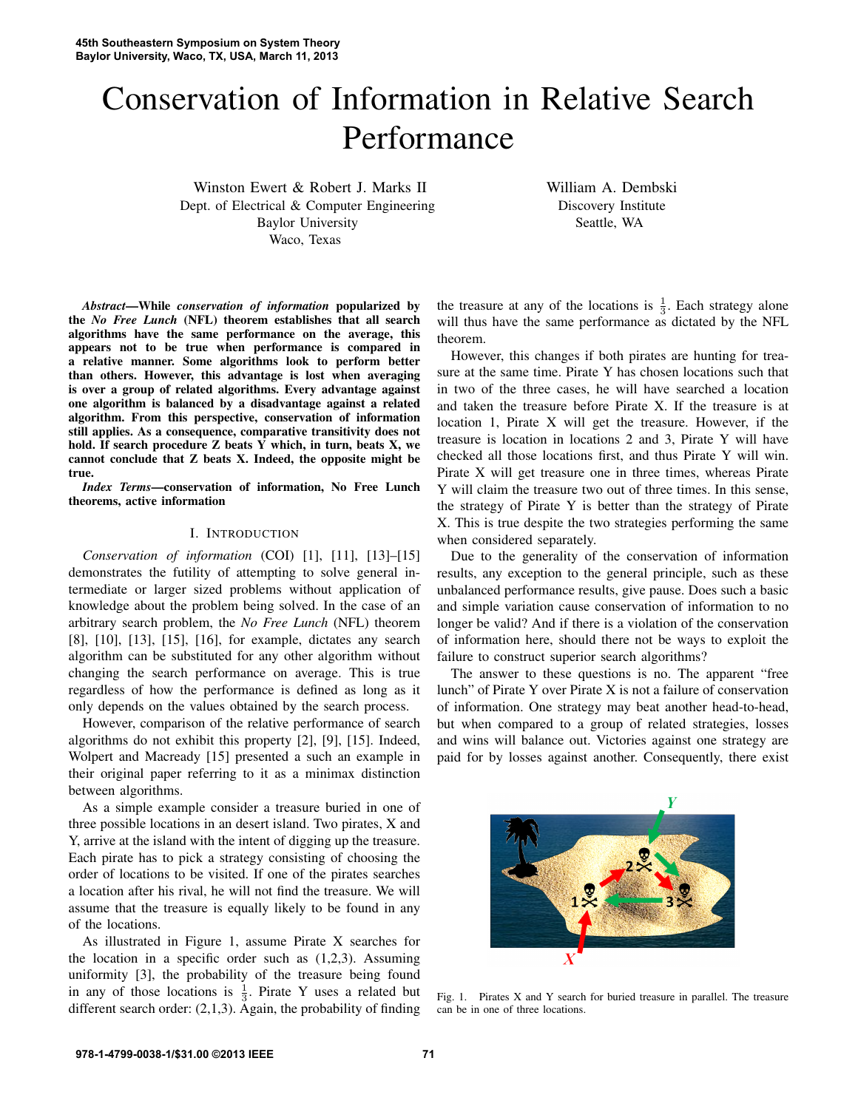# Conservation of Information in Relative Search Performance

Winston Ewert & Robert J. Marks II Dept. of Electrical & Computer Engineering Baylor University Waco, Texas

William A. Dembski Discovery Institute Seattle, WA

*Abstract*—While *conservation of information* popularized by the *No Free Lunch* (NFL) theorem establishes that all search algorithms have the same performance on the average, this appears not to be true when performance is compared in a relative manner. Some algorithms look to perform better than others. However, this advantage is lost when averaging is over a group of related algorithms. Every advantage against one algorithm is balanced by a disadvantage against a related algorithm. From this perspective, conservation of information still applies. As a consequence, comparative transitivity does not hold. If search procedure Z beats Y which, in turn, beats X, we cannot conclude that Z beats X. Indeed, the opposite might be true.

*Index Terms*—conservation of information, No Free Lunch theorems, active information

## I. INTRODUCTION

*Conservation of information* (COI) [1], [11], [13]–[15] demonstrates the futility of attempting to solve general intermediate or larger sized problems without application of knowledge about the problem being solved. In the case of an arbitrary search problem, the *No Free Lunch* (NFL) theorem [8], [10], [13], [15], [16], for example, dictates any search algorithm can be substituted for any other algorithm without changing the search performance on average. This is true regardless of how the performance is defined as long as it only depends on the values obtained by the search process.

However, comparison of the relative performance of search algorithms do not exhibit this property [2], [9], [15]. Indeed, Wolpert and Macready [15] presented a such an example in their original paper referring to it as a minimax distinction between algorithms.

As a simple example consider a treasure buried in one of three possible locations in an desert island. Two pirates, X and Y, arrive at the island with the intent of digging up the treasure. Each pirate has to pick a strategy consisting of choosing the order of locations to be visited. If one of the pirates searches a location after his rival, he will not find the treasure. We will assume that the treasure is equally likely to be found in any of the locations.

As illustrated in Figure 1, assume Pirate X searches for the location in a specific order such as  $(1,2,3)$ . Assuming uniformity [3], the probability of the treasure being found in any of those locations is  $\frac{1}{3}$ . Pirate Y uses a related but different search order: (2,1,3). Again, the probability of finding

the treasure at any of the locations is  $\frac{1}{3}$ . Each strategy alone will thus have the same performance as dictated by the NFL theorem.

However, this changes if both pirates are hunting for treasure at the same time. Pirate Y has chosen locations such that in two of the three cases, he will have searched a location and taken the treasure before Pirate X. If the treasure is at location 1, Pirate X will get the treasure. However, if the treasure is location in locations 2 and 3, Pirate Y will have checked all those locations first, and thus Pirate Y will win. Pirate X will get treasure one in three times, whereas Pirate Y will claim the treasure two out of three times. In this sense, the strategy of Pirate Y is better than the strategy of Pirate X. This is true despite the two strategies performing the same when considered separately.

Due to the generality of the conservation of information results, any exception to the general principle, such as these unbalanced performance results, give pause. Does such a basic and simple variation cause conservation of information to no longer be valid? And if there is a violation of the conservation of information here, should there not be ways to exploit the failure to construct superior search algorithms?

The answer to these questions is no. The apparent "free lunch" of Pirate Y over Pirate X is not a failure of conservation of information. One strategy may beat another head-to-head, but when compared to a group of related strategies, losses and wins will balance out. Victories against one strategy are paid for by losses against another. Consequently, there exist



Fig. 1. Pirates X and Y search for buried treasure in parallel. The treasure can be in one of three locations.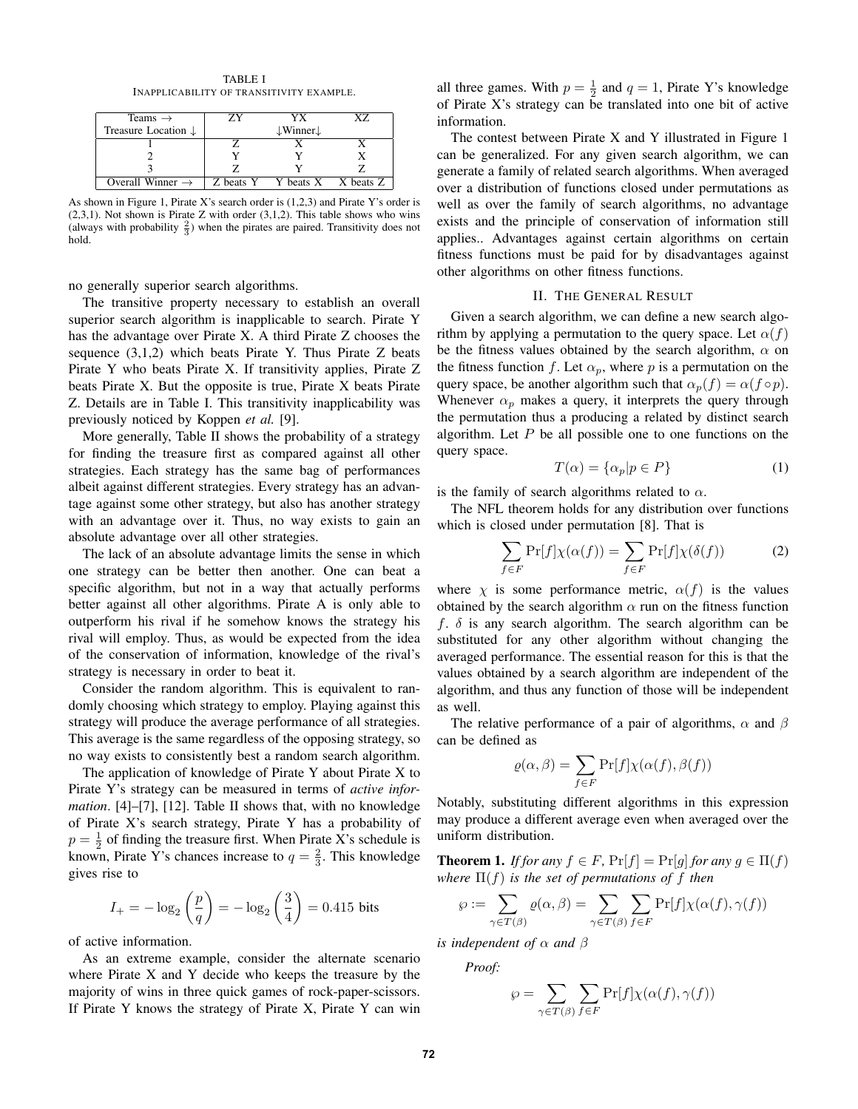TABLE I INAPPLICABILITY OF TRANSITIVITY EXAMPLE.

| Teams $\rightarrow$            | YX                               | Y7 |
|--------------------------------|----------------------------------|----|
| Treasure Location $\downarrow$ | $\downarrow$ Winner $\downarrow$ |    |
|                                |                                  |    |
|                                |                                  |    |
|                                |                                  |    |
| Overall Winner $\rightarrow$   | Z beats Y Y beats X X beats Z    |    |

As shown in Figure 1, Pirate X's search order is (1,2,3) and Pirate Y's order is  $(2,3,1)$ . Not shown is Pirate Z with order  $(3,1,2)$ . This table shows who wins (always with probability  $\frac{2}{3}$ ) when the pirates are paired. Transitivity does not hold.

no generally superior search algorithms.

The transitive property necessary to establish an overall superior search algorithm is inapplicable to search. Pirate Y has the advantage over Pirate X. A third Pirate Z chooses the sequence  $(3,1,2)$  which beats Pirate Y. Thus Pirate Z beats Pirate Y who beats Pirate X. If transitivity applies, Pirate Z beats Pirate X. But the opposite is true, Pirate X beats Pirate Z. Details are in Table I. This transitivity inapplicability was previously noticed by Koppen *et al.* [9].

More generally, Table II shows the probability of a strategy for finding the treasure first as compared against all other strategies. Each strategy has the same bag of performances albeit against different strategies. Every strategy has an advantage against some other strategy, but also has another strategy with an advantage over it. Thus, no way exists to gain an absolute advantage over all other strategies.

The lack of an absolute advantage limits the sense in which one strategy can be better then another. One can beat a specific algorithm, but not in a way that actually performs better against all other algorithms. Pirate A is only able to outperform his rival if he somehow knows the strategy his rival will employ. Thus, as would be expected from the idea of the conservation of information, knowledge of the rival's strategy is necessary in order to beat it.

Consider the random algorithm. This is equivalent to randomly choosing which strategy to employ. Playing against this strategy will produce the average performance of all strategies. This average is the same regardless of the opposing strategy, so no way exists to consistently best a random search algorithm.

The application of knowledge of Pirate Y about Pirate X to Pirate Y's strategy can be measured in terms of *active information*. [4]–[7], [12]. Table II shows that, with no knowledge of Pirate X's search strategy, Pirate Y has a probability of  $p = \frac{1}{2}$  of finding the treasure first. When Pirate X's schedule is known, Pirate Y's chances increase to  $q = \frac{2}{3}$ . This knowledge gives rise to

$$
I_{+} = -\log_2\left(\frac{p}{q}\right) = -\log_2\left(\frac{3}{4}\right) = 0.415
$$
 bits

of active information.

As an extreme example, consider the alternate scenario where Pirate X and Y decide who keeps the treasure by the majority of wins in three quick games of rock-paper-scissors. If Pirate Y knows the strategy of Pirate X, Pirate Y can win

all three games. With  $p = \frac{1}{2}$  and  $q = 1$ , Pirate Y's knowledge of Pirate X's strategy can be translated into one bit of active information.

The contest between Pirate X and Y illustrated in Figure 1 can be generalized. For any given search algorithm, we can generate a family of related search algorithms. When averaged over a distribution of functions closed under permutations as well as over the family of search algorithms, no advantage exists and the principle of conservation of information still applies.. Advantages against certain algorithms on certain fitness functions must be paid for by disadvantages against other algorithms on other fitness functions.

# II. THE GENERAL RESULT

Given a search algorithm, we can define a new search algorithm by applying a permutation to the query space. Let  $\alpha(f)$ be the fitness values obtained by the search algorithm,  $\alpha$  on the fitness function f. Let  $\alpha_p$ , where p is a permutation on the query space, be another algorithm such that  $\alpha_p(f) = \alpha(f \circ p)$ . Whenever  $\alpha_p$  makes a query, it interprets the query through the permutation thus a producing a related by distinct search algorithm. Let  $P$  be all possible one to one functions on the query space.

$$
T(\alpha) = \{\alpha_p | p \in P\}
$$
 (1)

is the family of search algorithms related to  $\alpha$ .

The NFL theorem holds for any distribution over functions which is closed under permutation [8]. That is

$$
\sum_{f \in F} \Pr[f] \chi(\alpha(f)) = \sum_{f \in F} \Pr[f] \chi(\delta(f)) \tag{2}
$$

where  $\chi$  is some performance metric,  $\alpha(f)$  is the values obtained by the search algorithm  $\alpha$  run on the fitness function  $f$ .  $\delta$  is any search algorithm. The search algorithm can be substituted for any other algorithm without changing the averaged performance. The essential reason for this is that the values obtained by a search algorithm are independent of the algorithm, and thus any function of those will be independent as well.

The relative performance of a pair of algorithms,  $\alpha$  and  $\beta$ can be defined as

$$
\varrho(\alpha,\beta) = \sum_{f \in F} \Pr[f] \chi(\alpha(f), \beta(f))
$$

Notably, substituting different algorithms in this expression may produce a different average even when averaged over the uniform distribution.

**Theorem 1.** *If for any*  $f \in F$ ,  $Pr[f] = Pr[g]$  *for any*  $g \in \Pi(f)$ *where*  $\Pi(f)$  *is the set of permutations of* f *then* 

$$
\wp := \sum_{\gamma \in T(\beta)} \varrho(\alpha, \beta) = \sum_{\gamma \in T(\beta)} \sum_{f \in F} \Pr[f] \chi(\alpha(f), \gamma(f))
$$

*is independent of* α *and* β

*Proof:*

$$
\wp = \sum_{\gamma \in T(\beta)} \sum_{f \in F} \Pr[f] \chi(\alpha(f), \gamma(f))
$$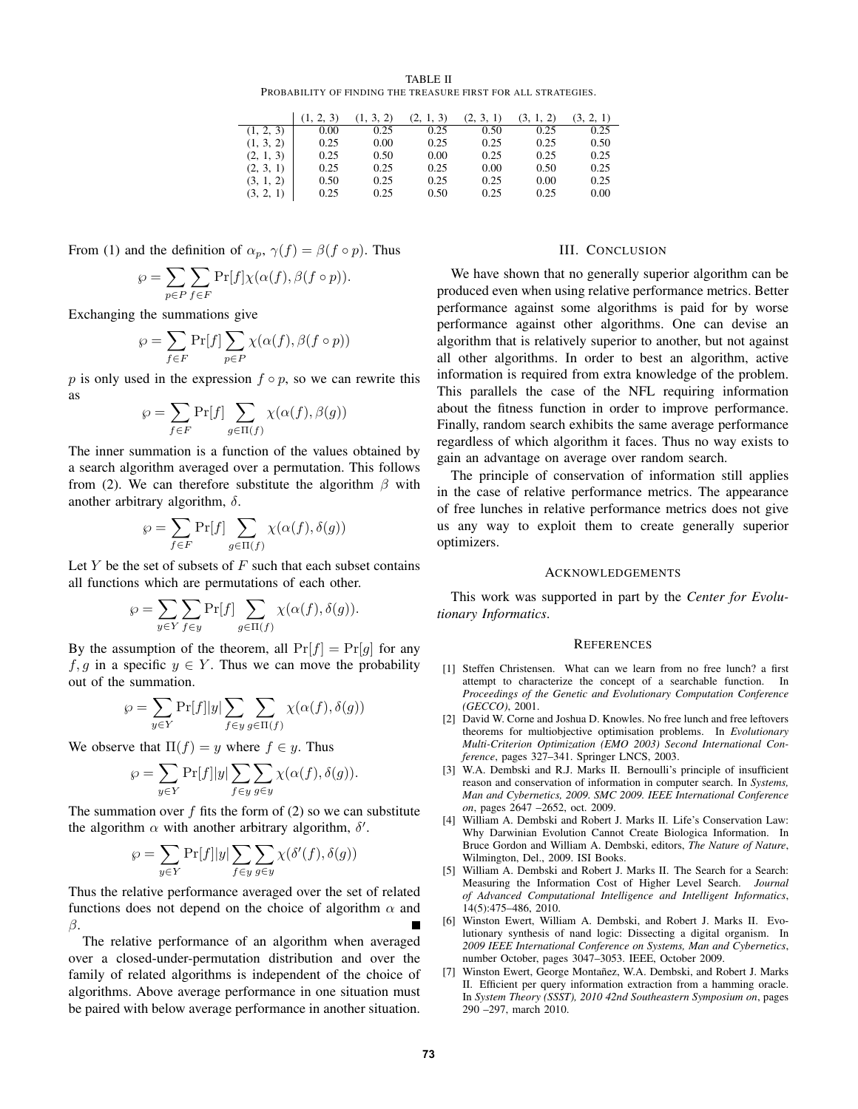| <b>TABLE II</b>                                               |  |  |  |  |  |  |  |
|---------------------------------------------------------------|--|--|--|--|--|--|--|
| PROBABILITY OF FINDING THE TREASURE FIRST FOR ALL STRATEGIES. |  |  |  |  |  |  |  |

|           | (1, 2, 3) | (1, 3, 2) | (2, 1, 3) | (2, 3, 1) | (3, 1, 2) | (3, 2, 1) |
|-----------|-----------|-----------|-----------|-----------|-----------|-----------|
| (1, 2, 3) | 0.00      | 0.25      | 0.25      | 0.50      | 0.25      | 0.25      |
| (1, 3, 2) | 0.25      | 0.00      | 0.25      | 0.25      | 0.25      | 0.50      |
| (2, 1, 3) | 0.25      | 0.50      | 0.00      | 0.25      | 0.25      | 0.25      |
| (2, 3, 1) | 0.25      | 0.25      | 0.25      | 0.00      | 0.50      | 0.25      |
| (3, 1, 2) | 0.50      | 0.25      | 0.25      | 0.25      | 0.00      | 0.25      |
| (3, 2, 1) | 0.25      | 0.25      | 0.50      | 0.25      | 0.25      | 0.00      |

From (1) and the definition of  $\alpha_p$ ,  $\gamma(f) = \beta(f \circ p)$ . Thus

$$
\wp = \sum_{p \in P} \sum_{f \in F} \Pr[f] \chi(\alpha(f), \beta(f \circ p)).
$$

Exchanging the summations give

$$
\wp = \sum_{f \in F} \Pr[f] \sum_{p \in P} \chi(\alpha(f), \beta(f \circ p))
$$

p is only used in the expression  $f \circ p$ , so we can rewrite this as

$$
\wp = \sum_{f \in F} \Pr[f] \sum_{g \in \Pi(f)} \chi(\alpha(f), \beta(g))
$$

The inner summation is a function of the values obtained by a search algorithm averaged over a permutation. This follows from (2). We can therefore substitute the algorithm  $\beta$  with another arbitrary algorithm,  $\delta$ .

$$
\wp = \sum_{f \in F} \Pr[f] \sum_{g \in \Pi(f)} \chi(\alpha(f), \delta(g))
$$

Let Y be the set of subsets of  $F$  such that each subset contains all functions which are permutations of each other.

$$
\wp = \sum_{y \in Y} \sum_{f \in y} \Pr[f] \sum_{g \in \Pi(f)} \chi(\alpha(f), \delta(g)).
$$

By the assumption of the theorem, all  $Pr[f] = Pr[g]$  for any f, g in a specific  $y \in Y$ . Thus we can move the probability out of the summation.

$$
\wp = \sum_{y \in Y} \Pr[f] |y| \sum_{f \in y} \sum_{g \in \Pi(f)} \chi(\alpha(f), \delta(g))
$$

We observe that  $\Pi(f) = y$  where  $f \in y$ . Thus

$$
\wp = \sum_{y \in Y} \Pr[f] |y| \sum_{f \in y} \sum_{g \in y} \chi(\alpha(f), \delta(g)).
$$

The summation over  $f$  fits the form of (2) so we can substitute the algorithm  $\alpha$  with another arbitrary algorithm,  $\delta'$ .

$$
\wp = \sum_{y \in Y} \Pr[f] |y| \sum_{f \in y} \sum_{g \in y} \chi(\delta'(f), \delta(g))
$$

Thus the relative performance averaged over the set of related functions does not depend on the choice of algorithm  $\alpha$  and β.

The relative performance of an algorithm when averaged over a closed-under-permutation distribution and over the family of related algorithms is independent of the choice of algorithms. Above average performance in one situation must be paired with below average performance in another situation.

# III. CONCLUSION

We have shown that no generally superior algorithm can be produced even when using relative performance metrics. Better performance against some algorithms is paid for by worse performance against other algorithms. One can devise an algorithm that is relatively superior to another, but not against all other algorithms. In order to best an algorithm, active information is required from extra knowledge of the problem. This parallels the case of the NFL requiring information about the fitness function in order to improve performance. Finally, random search exhibits the same average performance regardless of which algorithm it faces. Thus no way exists to gain an advantage on average over random search.

The principle of conservation of information still applies in the case of relative performance metrics. The appearance of free lunches in relative performance metrics does not give us any way to exploit them to create generally superior optimizers.

#### ACKNOWLEDGEMENTS

This work was supported in part by the *Center for Evolutionary Informatics*.

## **REFERENCES**

- [1] Steffen Christensen. What can we learn from no free lunch? a first attempt to characterize the concept of a searchable function. In *Proceedings of the Genetic and Evolutionary Computation Conference (GECCO)*, 2001.
- [2] David W. Corne and Joshua D. Knowles. No free lunch and free leftovers theorems for multiobjective optimisation problems. In *Evolutionary Multi-Criterion Optimization (EMO 2003) Second International Conference*, pages 327–341. Springer LNCS, 2003.
- [3] W.A. Dembski and R.J. Marks II. Bernoulli's principle of insufficient reason and conservation of information in computer search. In *Systems, Man and Cybernetics, 2009. SMC 2009. IEEE International Conference on*, pages 2647 –2652, oct. 2009.
- [4] William A. Dembski and Robert J. Marks II. Life's Conservation Law: Why Darwinian Evolution Cannot Create Biologica Information. In Bruce Gordon and William A. Dembski, editors, *The Nature of Nature*, Wilmington, Del., 2009. ISI Books.
- [5] William A. Dembski and Robert J. Marks II. The Search for a Search: Measuring the Information Cost of Higher Level Search. *Journal of Advanced Computational Intelligence and Intelligent Informatics*, 14(5):475–486, 2010.
- [6] Winston Ewert, William A. Dembski, and Robert J. Marks II. Evolutionary synthesis of nand logic: Dissecting a digital organism. In *2009 IEEE International Conference on Systems, Man and Cybernetics*, number October, pages 3047–3053. IEEE, October 2009.
- [7] Winston Ewert, George Montañez, W.A. Dembski, and Robert J. Marks II. Efficient per query information extraction from a hamming oracle. In *System Theory (SSST), 2010 42nd Southeastern Symposium on*, pages 290 –297, march 2010.